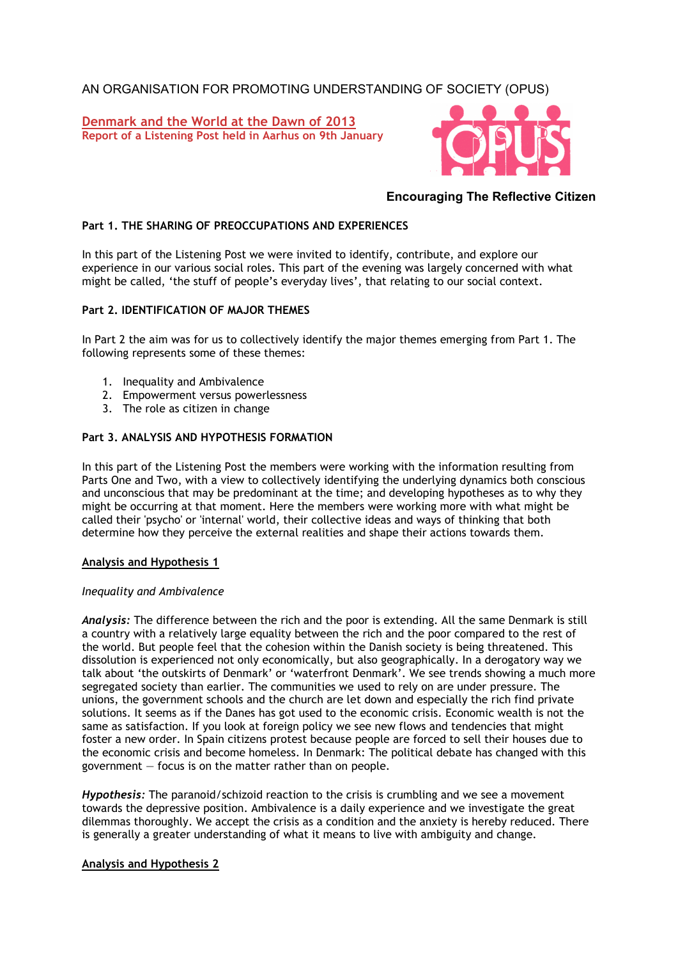# AN ORGANISATION FOR PROMOTING UNDERSTANDING OF SOCIETY (OPUS)

## **Denmark and the World at the Dawn of 2013 Report of a Listening Post held in Aarhus on 9th January**



## **Encouraging The Reflective Citizen**

## **Part 1. THE SHARING OF PREOCCUPATIONS AND EXPERIENCES**

In this part of the Listening Post we were invited to identify, contribute, and explore our experience in our various social roles. This part of the evening was largely concerned with what might be called, 'the stuff of people's everyday lives', that relating to our social context.

## **Part 2. IDENTIFICATION OF MAJOR THEMES**

In Part 2 the aim was for us to collectively identify the major themes emerging from Part 1. The following represents some of these themes:

- 1. Inequality and Ambivalence
- 2. Empowerment versus powerlessness
- 3. The role as citizen in change

## **Part 3. ANALYSIS AND HYPOTHESIS FORMATION**

In this part of the Listening Post the members were working with the information resulting from Parts One and Two, with a view to collectively identifying the underlying dynamics both conscious and unconscious that may be predominant at the time; and developing hypotheses as to why they might be occurring at that moment. Here the members were working more with what might be called their 'psycho' or 'internal' world, their collective ideas and ways of thinking that both determine how they perceive the external realities and shape their actions towards them.

#### **Analysis and Hypothesis 1**

#### *Inequality and Ambivalence*

*Analysis:* The difference between the rich and the poor is extending. All the same Denmark is still a country with a relatively large equality between the rich and the poor compared to the rest of the world. But people feel that the cohesion within the Danish society is being threatened. This dissolution is experienced not only economically, but also geographically. In a derogatory way we talk about 'the outskirts of Denmark' or 'waterfront Denmark'. We see trends showing a much more segregated society than earlier. The communities we used to rely on are under pressure. The unions, the government schools and the church are let down and especially the rich find private solutions. It seems as if the Danes has got used to the economic crisis. Economic wealth is not the same as satisfaction. If you look at foreign policy we see new flows and tendencies that might foster a new order. In Spain citizens protest because people are forced to sell their houses due to the economic crisis and become homeless. In Denmark: The political debate has changed with this government — focus is on the matter rather than on people.

*Hypothesis:* The paranoid/schizoid reaction to the crisis is crumbling and we see a movement towards the depressive position. Ambivalence is a daily experience and we investigate the great dilemmas thoroughly. We accept the crisis as a condition and the anxiety is hereby reduced. There is generally a greater understanding of what it means to live with ambiguity and change.

#### **Analysis and Hypothesis 2**